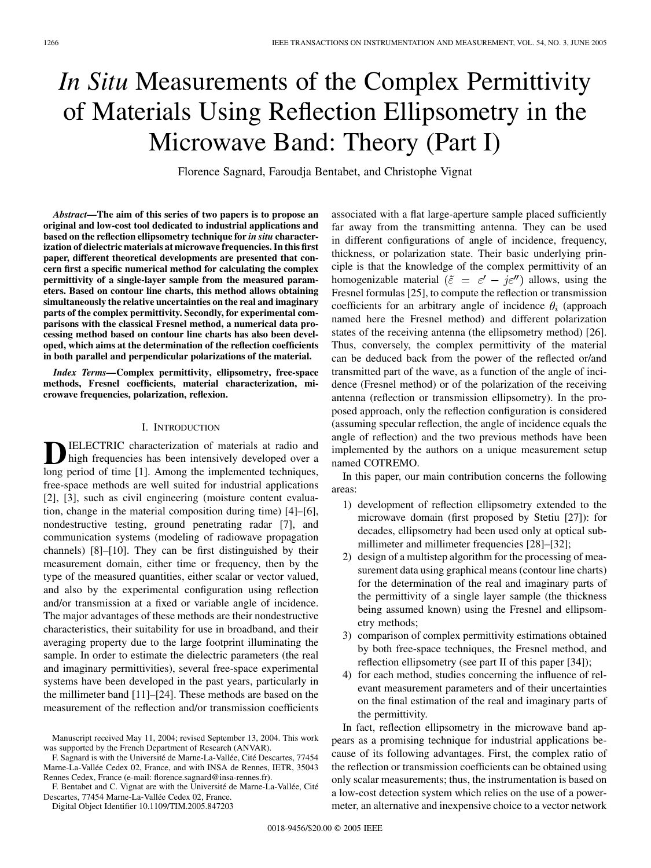# *In Situ* Measurements of the Complex Permittivity of Materials Using Reflection Ellipsometry in the Microwave Band: Theory (Part I)

Florence Sagnard, Faroudja Bentabet, and Christophe Vignat

*Abstract—***The aim of this series of two papers is to propose an original and low-cost tool dedicated to industrial applications and based on the reflection ellipsometry technique for** *in situ* **characterization of dielectric materials at microwave frequencies. In this first paper, different theoretical developments are presented that concern first a specific numerical method for calculating the complex permittivity of a single-layer sample from the measured parameters. Based on contour line charts, this method allows obtaining simultaneously the relative uncertainties on the real and imaginary parts of the complex permittivity. Secondly, for experimental comparisons with the classical Fresnel method, a numerical data processing method based on contour line charts has also been developed, which aims at the determination of the reflection coefficients in both parallel and perpendicular polarizations of the material.**

*Index Terms—***Complex permittivity, ellipsometry, free-space methods, Fresnel coefficients, material characterization, microwave frequencies, polarization, reflexion.**

#### I. INTRODUCTION

**D**IELECTRIC characterization of materials at radio and<br>high frequencies has been intensively developed over a long period of time [\[1](#page-6-0)]. Among the implemented techniques, free-space methods are well suited for industrial applications [[2\]](#page-6-0), [\[3](#page-6-0)], such as civil engineering (moisture content evaluation, change in the material composition during time) [\[4](#page-6-0)]–[[6\]](#page-6-0), nondestructive testing, ground penetrating radar [[7\]](#page-6-0), and communication systems (modeling of radiowave propagation channels) [[8\]](#page-6-0)–[\[10](#page-6-0)]. They can be first distinguished by their measurement domain, either time or frequency, then by the type of the measured quantities, either scalar or vector valued, and also by the experimental configuration using reflection and/or transmission at a fixed or variable angle of incidence. The major advantages of these methods are their nondestructive characteristics, their suitability for use in broadband, and their averaging property due to the large footprint illuminating the sample. In order to estimate the dielectric parameters (the real and imaginary permittivities), several free-space experimental systems have been developed in the past years, particularly in the millimeter band [[11\]](#page-6-0)–[\[24](#page-7-0)]. These methods are based on the measurement of the reflection and/or transmission coefficients

F. Sagnard is with the Université de Marne-La-Vallée, Cité Descartes, 77454 Marne-La-Vallée Cedex 02, France, and with INSA de Rennes, IETR, 35043 Rennes Cedex, France (e-mail: florence.sagnard@insa-rennes.fr).

F. Bentabet and C. Vignat are with the Université de Marne-La-Vallée, Cité Descartes, 77454 Marne-La-Vallée Cedex 02, France.

Digital Object Identifier 10.1109/TIM.2005.847203

associated with a flat large-aperture sample placed sufficiently far away from the transmitting antenna. They can be used in different configurations of angle of incidence, frequency, thickness, or polarization state. Their basic underlying principle is that the knowledge of the complex permittivity of an homogenizable material  $(\tilde{\varepsilon} = \varepsilon' - i\varepsilon'')$  allows, using the Fresnel formulas [[25\]](#page-7-0), to compute the reflection or transmission coefficients for an arbitrary angle of incidence  $\theta_i$  (approach named here the Fresnel method) and different polarization states of the receiving antenna (the ellipsometry method) [[26\]](#page-7-0). Thus, conversely, the complex permittivity of the material can be deduced back from the power of the reflected or/and transmitted part of the wave, as a function of the angle of incidence (Fresnel method) or of the polarization of the receiving antenna (reflection or transmission ellipsometry). In the proposed approach, only the reflection configuration is considered (assuming specular reflection, the angle of incidence equals the angle of reflection) and the two previous methods have been implemented by the authors on a unique measurement setup named COTREMO.

In this paper, our main contribution concerns the following areas:

- 1) development of reflection ellipsometry extended to the microwave domain (first proposed by Stetiu [\[27](#page-7-0)]): for decades, ellipsometry had been used only at optical submillimeter and millimeter frequencies [\[28](#page-7-0)]–[\[32](#page-7-0)];
- 2) design of a multistep algorithm for the processing of measurement data using graphical means (contour line charts) for the determination of the real and imaginary parts of the permittivity of a single layer sample (the thickness being assumed known) using the Fresnel and ellipsometry methods;
- 3) comparison of complex permittivity estimations obtained by both free-space techniques, the Fresnel method, and reflection ellipsometry (see part II of this paper [[34](#page-7-0)]);
- 4) for each method, studies concerning the influence of relevant measurement parameters and of their uncertainties on the final estimation of the real and imaginary parts of the permittivity.

In fact, reflection ellipsometry in the microwave band appears as a promising technique for industrial applications because of its following advantages. First, the complex ratio of the reflection or transmission coefficients can be obtained using only scalar measurements; thus, the instrumentation is based on a low-cost detection system which relies on the use of a powermeter, an alternative and inexpensive choice to a vector network

Manuscript received May 11, 2004; revised September 13, 2004. This work was supported by the French Department of Research (ANVAR).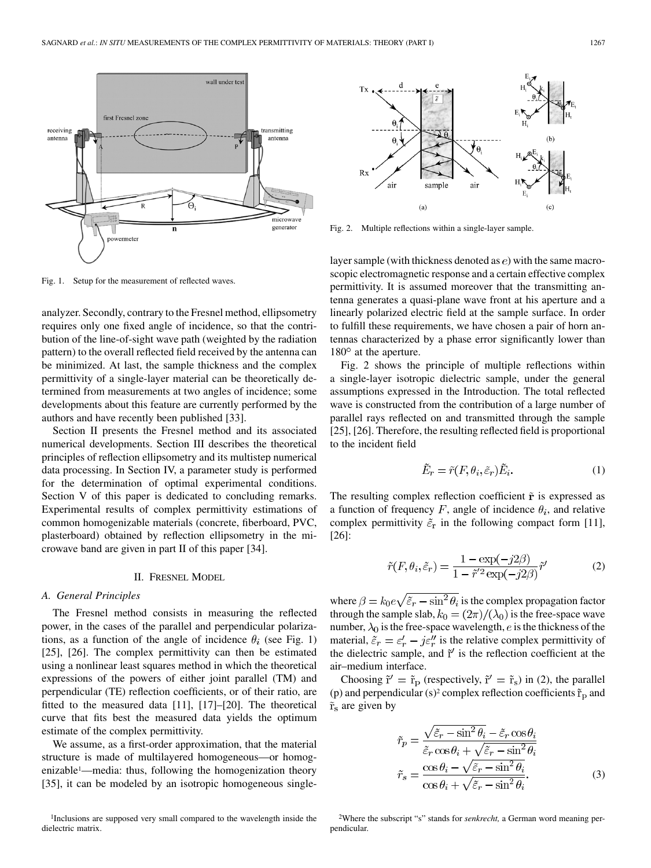

Fig. 1. Setup for the measurement of reflected waves.

analyzer. Secondly, contrary to the Fresnel method, ellipsometry requires only one fixed angle of incidence, so that the contribution of the line-of-sight wave path (weighted by the radiation pattern) to the overall reflected field received by the antenna can be minimized. At last, the sample thickness and the complex permittivity of a single-layer material can be theoretically determined from measurements at two angles of incidence; some developments about this feature are currently performed by the authors and have recently been published [\[33](#page-7-0)].

Section II presents the Fresnel method and its associated numerical developments. Section III describes the theoretical principles of reflection ellipsometry and its multistep numerical data processing. In Section IV, a parameter study is performed for the determination of optimal experimental conditions. Section V of this paper is dedicated to concluding remarks. Experimental results of complex permittivity estimations of common homogenizable materials (concrete, fiberboard, PVC, plasterboard) obtained by reflection ellipsometry in the microwave band are given in part II of this paper [\[34](#page-7-0)].

## II. FRESNEL MODEL

## *A. General Principles*

The Fresnel method consists in measuring the reflected power, in the cases of the parallel and perpendicular polarizations, as a function of the angle of incidence  $\theta_i$  (see Fig. 1) [\[25](#page-7-0)], [\[26](#page-7-0)]. The complex permittivity can then be estimated using a nonlinear least squares method in which the theoretical expressions of the powers of either joint parallel (TM) and perpendicular (TE) reflection coefficients, or of their ratio, are fitted to the measured data [[11\]](#page-6-0), [[17\]](#page-6-0)–[\[20](#page-6-0)]. The theoretical curve that fits best the measured data yields the optimum estimate of the complex permittivity.

We assume, as a first-order approximation, that the material structure is made of multilayered homogeneous—or homogenizable1—media: thus, following the homogenization theory [\[35](#page-7-0)], it can be modeled by an isotropic homogeneous single-



 $\bigstar_{\theta_i}$  $Rx$ air air sample  $(a)$  $(c)$ 

Fig. 2. Multiple reflections within a single-layer sample.

layer sample (with thickness denoted as  $e$ ) with the same macroscopic electromagnetic response and a certain effective complex permittivity. It is assumed moreover that the transmitting antenna generates a quasi-plane wave front at his aperture and a linearly polarized electric field at the sample surface. In order to fulfill these requirements, we have chosen a pair of horn antennas characterized by a phase error significantly lower than  $180^{\circ}$  at the aperture.

Fig. 2 shows the principle of multiple reflections within a single-layer isotropic dielectric sample, under the general assumptions expressed in the Introduction. The total reflected wave is constructed from the contribution of a large number of parallel rays reflected on and transmitted through the sample [\[25](#page-7-0)], [[26\]](#page-7-0). Therefore, the resulting reflected field is proportional to the incident field

$$
\tilde{E}_r = \tilde{r}(F, \theta_i, \tilde{\varepsilon}_r) \tilde{E}_i.
$$
\n(1)

The resulting complex reflection coefficient  $\tilde{\mathbf{r}}$  is expressed as a function of frequency F, angle of incidence  $\theta_i$ , and relative complex permittivity  $\tilde{\varepsilon}_r$  in the following compact form [\[11](#page-6-0)], [\[26](#page-7-0)]:

$$
\tilde{r}(F,\theta_i,\tilde{\varepsilon}_r) = \frac{1 - \exp(-j2\beta)}{1 - \tilde{r}'^2 \exp(-j2\beta)} \tilde{r}'
$$
\n(2)

where  $\beta = k_0 e \sqrt{\tilde{\varepsilon}_r - \sin^2 \theta_i}$  is the complex propagation factor through the sample slab,  $k_0 = \frac{2\pi}{\lambda_0}$  is the free-space wave number,  $\lambda_0$  is the free-space wavelength, e is the thickness of the material,  $\tilde{\varepsilon}_r = \varepsilon_r' - j\varepsilon_r''$  is the relative complex permittivity of the dielectric sample, and  $\tilde{r}'$  is the reflection coefficient at the air–medium interface.

Choosing  $\tilde{r}' = \tilde{r}_p$  (respectively,  $\tilde{r}' = \tilde{r}_s$ ) in (2), the parallel (p) and perpendicular (s)<sup>2</sup> complex reflection coefficients  $\tilde{r}_p$  and  $\tilde{r}_s$  are given by

$$
\tilde{r}_p = \frac{\sqrt{\tilde{\varepsilon}_r - \sin^2 \theta_i} - \tilde{\varepsilon}_r \cos \theta_i}{\tilde{\varepsilon}_r \cos \theta_i + \sqrt{\tilde{\varepsilon}_r - \sin^2 \theta_i}}
$$
\n
$$
\tilde{r}_s = \frac{\cos \theta_i - \sqrt{\tilde{\varepsilon}_r - \sin^2 \theta_i}}{\cos \theta_i + \sqrt{\tilde{\varepsilon}_r - \sin^2 \theta_i}}.
$$
\n(3)

2Where the subscript "s" stands for *senkrecht,* a German word meaning perpendicular.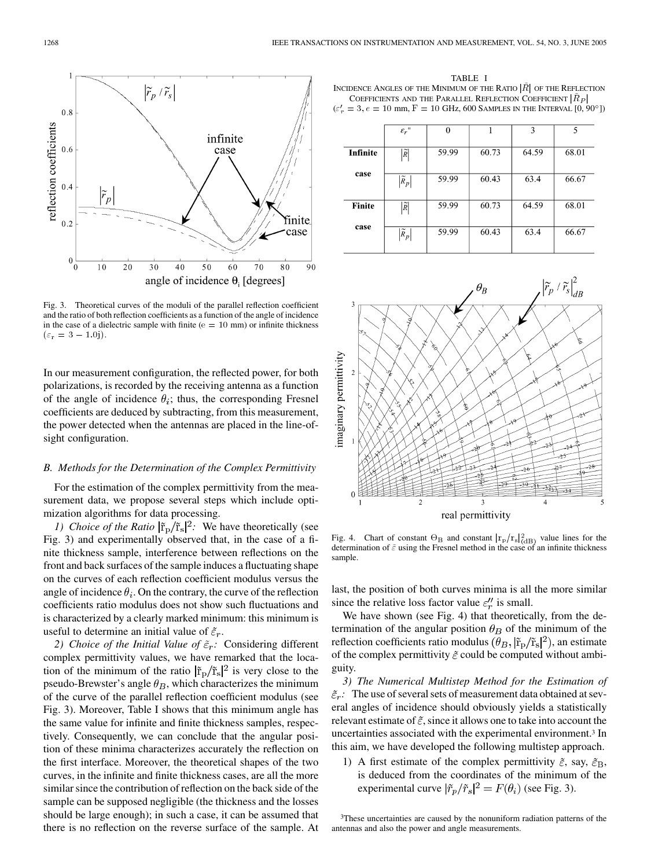In our measurement configuration, the reflected power, for both polarizations, is recorded by the receiving antenna as a function

Fig. 3. Theoretical curves of the moduli of the parallel reflection coefficient and the ratio of both reflection coefficients as a function of the angle of incidence in the case of a dielectric sample with finite ( $e = 10$  mm) or infinite thickness

40

 $5\,0$ 

angle of incidence  $\theta_i$  [degrees]

60

 $\left| \widetilde{r}_{p} / \widetilde{r}_{s} \right|$ 

infinite

case

inite

case

90

80

70

of the angle of incidence  $\theta_i$ ; thus, the corresponding Fresnel coefficients are deduced by subtracting, from this measurement, the power detected when the antennas are placed in the line-ofsight configuration.

#### *B. Methods for the Determination of the Complex Permittivity*

For the estimation of the complex permittivity from the measurement data, we propose several steps which include optimization algorithms for data processing.

*1) Choice of the Ratio*  $|\tilde{r}_p/\tilde{r}_s|^2$ . We have theoretically (see Fig. 3) and experimentally observed that, in the case of a finite thickness sample, interference between reflections on the front and back surfaces of the sample induces a fluctuating shape on the curves of each reflection coefficient modulus versus the angle of incidence  $\theta_i$ . On the contrary, the curve of the reflection coefficients ratio modulus does not show such fluctuations and is characterized by a clearly marked minimum: this minimum is useful to determine an initial value of  $\tilde{\varepsilon}_r$ .

2) Choice of the Initial Value of  $\tilde{\epsilon}_r$ : Considering different complex permittivity values, we have remarked that the location of the minimum of the ratio  $|\tilde{r}_p/\tilde{r}_s|^2$  is very close to the pseudo-Brewster's angle  $\theta_B$ , which characterizes the minimum of the curve of the parallel reflection coefficient modulus (see Fig. 3). Moreover, Table I shows that this minimum angle has the same value for infinite and finite thickness samples, respectively. Consequently, we can conclude that the angular position of these minima characterizes accurately the reflection on the first interface. Moreover, the theoretical shapes of the two curves, in the infinite and finite thickness cases, are all the more similar since the contribution of reflection on the back side of the sample can be supposed negligible (the thickness and the losses should be large enough); in such a case, it can be assumed that there is no reflection on the reverse surface of the sample. At

TABLE I INCIDENCE ANGLES OF THE MINIMUM OF THE RATIO  $|\bar{R}|$  OF THE REFLECTION COEFFICIENTS AND THE PARALLEL REFLECTION COEFFICIENT  $|\bar{R}_P|$  $(\varepsilon'_r = 3, e = 10 \text{ mm}, F = 10 \text{ GHz}, 600 \text{ SAMPLES}$  IN THE INTERVAL  $[0, 90^\circ]$ )

|               | $\varepsilon_r$ "                | $\theta$ |       | 3     | 5     |
|---------------|----------------------------------|----------|-------|-------|-------|
|               |                                  |          |       |       |       |
| Infinite      | $ \widetilde{R} $                | 59.99    | 60.73 | 64.59 | 68.01 |
|               |                                  |          |       |       |       |
| case          | $\left  \widetilde{R}_p \right $ | 59.99    | 60.43 | 63.4  | 66.67 |
| <b>Finite</b> | $ \tilde{R} $                    | 59.99    | 60.73 | 64.59 | 68.01 |
|               |                                  |          |       |       |       |
| case          | $\tilde{R}_p$                    | 59.99    | 60.43 | 63.4  | 66.67 |
|               |                                  |          |       |       |       |



Fig. 4. Chart of constant  $\Theta_B$  and constant  $|r_{\rm p}/r_{\rm s}|^2_{\rm dB}$  value lines for the determination of  $\bar{\varepsilon}$  using the Fresnel method in the case of an infinite thickness sample.

last, the position of both curves minima is all the more similar since the relative loss factor value  $\varepsilon_n^{\prime\prime}$  is small.

We have shown (see Fig. 4) that theoretically, from the determination of the angular position  $\theta_B$  of the minimum of the reflection coefficients ratio modulus  $(\theta_B, |\tilde{r}_p/\tilde{r}_s|^2)$ , an estimate of the complex permittivity  $\tilde{\varepsilon}$  could be computed without ambiguity.

*3) The Numerical Multistep Method for the Estimation of*  $\tilde{\varepsilon}_r$ : The use of several sets of measurement data obtained at several angles of incidence should obviously yields a statistically relevant estimate of  $\tilde{\varepsilon}$ , since it allows one to take into account the uncertainties associated with the experimental environment.3 In this aim, we have developed the following multistep approach.

1) A first estimate of the complex permittivity  $\tilde{\varepsilon}$ , say,  $\tilde{\varepsilon}_{\rm B}$ , is deduced from the coordinates of the minimum of the experimental curve  $|\tilde{r}_p/\tilde{r}_s|^2 = F(\theta_i)$  (see Fig. 3).

<sup>3</sup>These uncertainties are caused by the nonuniform radiation patterns of the antennas and also the power and angle measurements.

reflection coefficients

 $0.8$ 

 $0.6$ 

4

 $0.2$ 

 $\overline{0}$ 

 $\theta$ 

20

10

30

 $(\varepsilon_{\rm r} = 3 - 1.0$ j).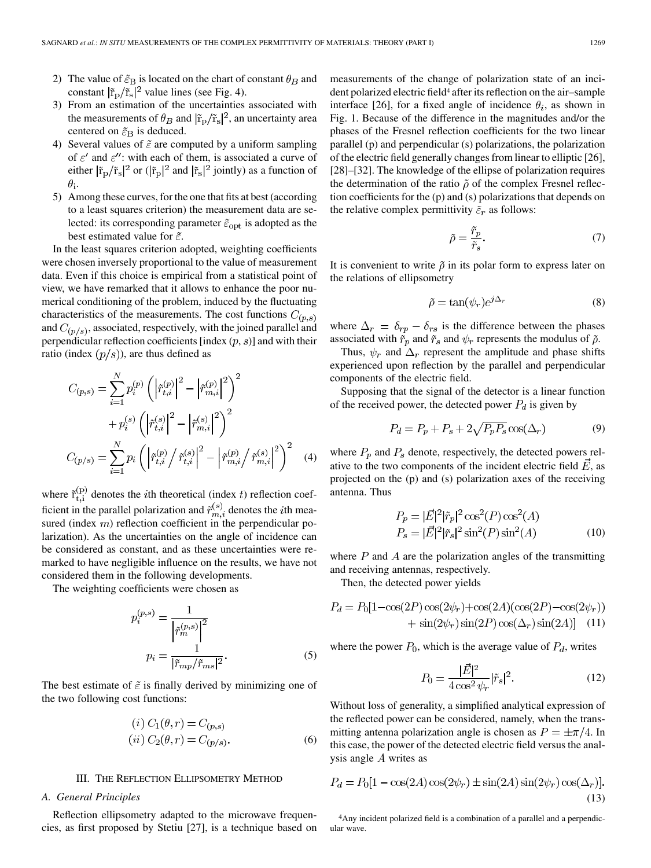- 2) The value of  $\tilde{\varepsilon}_{B}$  is located on the chart of constant  $\theta_{B}$  and constant  $|\tilde{r}_p/\tilde{r}_s|^2$  value lines (see Fig. 4).
- 3) From an estimation of the uncertainties associated with the measurements of  $\theta_B$  and  $|\tilde{r}_p/\tilde{r}_s|^2$ , an uncertainty area centered on  $\tilde{\varepsilon}_{\rm B}$  is deduced.
- 4) Several values of  $\tilde{\varepsilon}$  are computed by a uniform sampling of  $\varepsilon'$  and  $\varepsilon''$ : with each of them, is associated a curve of either  $|\tilde{r}_p/\tilde{r}_s|^2$  or  $(|\tilde{r}_p|^2$  and  $|\tilde{r}_s|^2$  jointly) as a function of  $\theta_{i}$ .
- 5) Among these curves, for the one that fits at best (according to a least squares criterion) the measurement data are selected: its corresponding parameter  $\tilde{\varepsilon}_{opt}$  is adopted as the best estimated value for  $\tilde{\varepsilon}$ .

In the least squares criterion adopted, weighting coefficients were chosen inversely proportional to the value of measurement data. Even if this choice is empirical from a statistical point of view, we have remarked that it allows to enhance the poor numerical conditioning of the problem, induced by the fluctuating characteristics of the measurements. The cost functions  $C_{(p,s)}$ and  $C_{(p/s)}$ , associated, respectively, with the joined parallel and perpendicular reflection coefficients [index  $(p, s)$ ] and with their ratio (index  $(p/s)$ ), are thus defined as

$$
C_{(p,s)} = \sum_{i=1}^{N} p_i^{(p)} \left( \left| \tilde{r}_{t,i}^{(p)} \right|^2 - \left| \tilde{r}_{m,i}^{(p)} \right|^2 \right)^2 + p_i^{(s)} \left( \left| \tilde{r}_{t,i}^{(s)} \right|^2 - \left| \tilde{r}_{m,i}^{(s)} \right|^2 \right)^2
$$

$$
C_{(p/s)} = \sum_{i=1}^{N} p_i \left( \left| \tilde{r}_{t,i}^{(p)} / \tilde{r}_{t,i}^{(s)} \right|^2 - \left| \tilde{r}_{m,i}^{(p)} / \tilde{r}_{m,i}^{(s)} \right|^2 \right)^2 \quad (4)
$$

where  $\tilde{\mathbf{r}}_{t,i}^{(p)}$  denotes the *i*th theoretical (index *t*) reflection coefficient in the parallel polarization and  $\tilde{r}_{m,i}^{(s)}$  denotes the *i*th measured (index  $m$ ) reflection coefficient in the perpendicular polarization). As the uncertainties on the angle of incidence can be considered as constant, and as these uncertainties were remarked to have negligible influence on the results, we have not considered them in the following developments.

The weighting coefficients were chosen as

$$
p_i^{(p,s)} = \frac{1}{\left|\tilde{r}_m^{(p,s)}\right|^2}
$$

$$
p_i = \frac{1}{\left|\tilde{r}_{mp}/\tilde{r}_{ms}\right|^2}.
$$
 (5)

The best estimate of  $\tilde{\varepsilon}$  is finally derived by minimizing one of the two following cost functions:

(i) 
$$
C_1(\theta, r) = C_{(p,s)}
$$
  
(ii)  $C_2(\theta, r) = C_{(p/s)}$ . (6)

# III. THE REFLECTION ELLIPSOMETRY METHOD

## *A. General Principles*

Reflection ellipsometry adapted to the microwave frequencies, as first proposed by Stetiu [[27\]](#page-7-0), is a technique based on measurements of the change of polarization state of an incident polarized electric field4 after its reflection on the air–sample interface [[26\]](#page-7-0), for a fixed angle of incidence  $\theta_i$ , as shown in Fig. 1. Because of the difference in the magnitudes and/or the phases of the Fresnel reflection coefficients for the two linear parallel (p) and perpendicular (s) polarizations, the polarization of the electric field generally changes from linear to elliptic [\[26](#page-7-0)], [\[28](#page-7-0)]–[\[32](#page-7-0)]. The knowledge of the ellipse of polarization requires the determination of the ratio  $\tilde{\rho}$  of the complex Fresnel reflection coefficients for the (p) and (s) polarizations that depends on the relative complex permittivity  $\tilde{\varepsilon}_r$  as follows:

$$
\tilde{\rho} = \frac{\tilde{r}_p}{\tilde{r}_s}.\tag{7}
$$

It is convenient to write  $\tilde{\rho}$  in its polar form to express later on the relations of ellipsometry

$$
\tilde{\rho} = \tan(\psi_r)e^{j\Delta_r} \tag{8}
$$

where  $\Delta_r = \delta_{rp} - \delta_{rs}$  is the difference between the phases associated with  $\tilde{r}_p$  and  $\tilde{r}_s$  and  $\psi_r$  represents the modulus of  $\tilde{\rho}$ .

Thus,  $\psi_r$  and  $\Delta_r$  represent the amplitude and phase shifts experienced upon reflection by the parallel and perpendicular components of the electric field.

Supposing that the signal of the detector is a linear function of the received power, the detected power  $P_d$  is given by

$$
P_d = P_p + P_s + 2\sqrt{P_p P_s} \cos(\Delta_r)
$$
 (9)

where  $P_p$  and  $P_s$  denote, respectively, the detected powers relative to the two components of the incident electric field  $\vec{E}$ , as projected on the (p) and (s) polarization axes of the receiving antenna. Thus

$$
P_p = |\vec{E}|^2 |\tilde{r}_p|^2 \cos^2(P) \cos^2(A)
$$
  
\n
$$
P_s = |\vec{E}|^2 |\tilde{r}_s|^2 \sin^2(P) \sin^2(A)
$$
 (10)

where  $P$  and  $A$  are the polarization angles of the transmitting and receiving antennas, respectively.

Then, the detected power yields

$$
P_d = P_0[1 - \cos(2P)\cos(2\psi_r) + \cos(2A)(\cos(2P) - \cos(2\psi_r)) + \sin(2\psi_r)\sin(2P)\cos(\Delta_r)\sin(2A)] \quad (11)
$$

where the power  $P_0$ , which is the average value of  $P_d$ , writes

$$
P_0 = \frac{|\vec{E}|^2}{4\cos^2\psi_r} |\tilde{r}_s|^2.
$$
 (12)

Without loss of generality, a simplified analytical expression of the reflected power can be considered, namely, when the transmitting antenna polarization angle is chosen as  $P = \pm \pi/4$ . In this case, the power of the detected electric field versus the analysis angle  $A$  writes as

$$
P_d = P_0[1 - \cos(2A)\cos(2\psi_r) \pm \sin(2A)\sin(2\psi_r)\cos(\Delta_r)].
$$
\n(13)

4Any incident polarized field is a combination of a parallel and a perpendicular wave.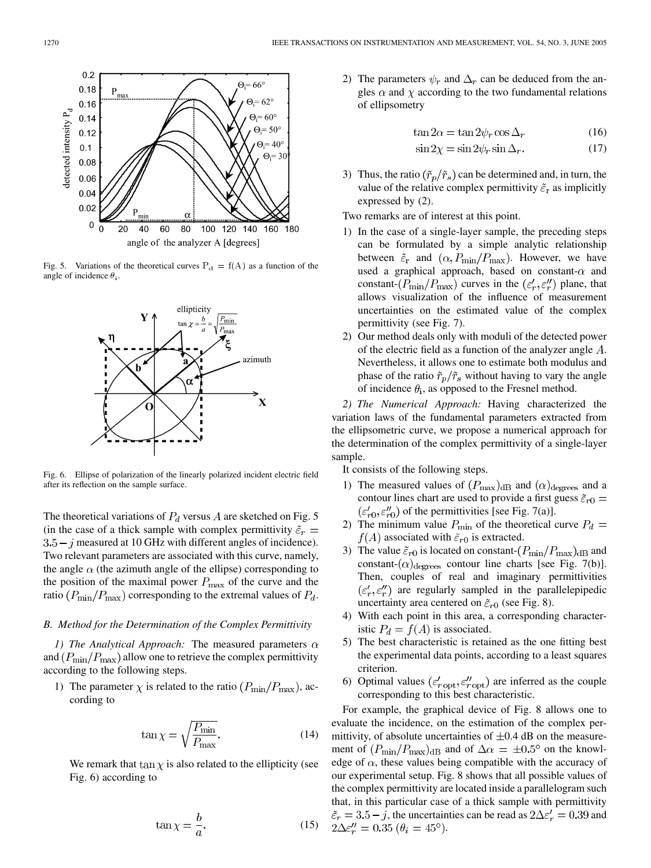

Fig. 5. Variations of the theoretical curves  $P_d = f(A)$  as a function of the angle of incidence  $\theta_i$ .



Fig. 6. Ellipse of polarization of the linearly polarized incident electric field after its reflection on the sample surface.

The theoretical variations of  $P_d$  versus A are sketched on Fig. 5 (in the case of a thick sample with complex permittivity  $\tilde{\varepsilon}_r =$  $3.5 - j$  measured at 10 GHz with different angles of incidence). Two relevant parameters are associated with this curve, namely, the angle  $\alpha$  (the azimuth angle of the ellipse) corresponding to the position of the maximal power  $P_{\text{max}}$  of the curve and the ratio ( $P_{\text{min}}/P_{\text{max}}$ ) corresponding to the extremal values of  $P_d$ .

# *B. Method for the Determination of the Complex Permittivity*

*1) The Analytical Approach:* The measured parameters  $\alpha$ and  $(P_{\min}/P_{\max})$  allow one to retrieve the complex permittivity according to the following steps.

1) The parameter  $\chi$  is related to the ratio  $(P_{\min}/P_{\max})$ , according to

$$
\tan \chi = \sqrt{\frac{P_{\text{min}}}{P_{\text{max}}}}.\tag{14}
$$

We remark that  $\tan \chi$  is also related to the ellipticity (see Fig. 6) according to

$$
\tan \chi = \frac{b}{a}.\tag{15}
$$

2) The parameters  $\psi_r$  and  $\Delta_r$  can be deduced from the angles  $\alpha$  and  $\chi$  according to the two fundamental relations of ellipsometry

$$
\tan 2\alpha = \tan 2\psi_r \cos \Delta_r \tag{16}
$$

$$
\sin 2\chi = \sin 2\psi_r \sin \Delta_r. \tag{17}
$$

3) Thus, the ratio  $(\tilde{r}_p/\tilde{r}_s)$  can be determined and, in turn, the value of the relative complex permittivity  $\tilde{\varepsilon}_r$  as implicitly expressed by (2).

Two remarks are of interest at this point.

- 1) In the case of a single-layer sample, the preceding steps can be formulated by a simple analytic relationship between  $\tilde{\varepsilon}_r$  and  $(\alpha, P_{\text{min}}/P_{\text{max}})$ . However, we have used a graphical approach, based on constant- $\alpha$  and constant- $(P_{\min}/P_{\max})$  curves in the  $(\varepsilon'_r, \varepsilon''_r)$  plane, that allows visualization of the influence of measurement uncertainties on the estimated value of the complex permittivity (see Fig. 7).
- 2) Our method deals only with moduli of the detected power of the electric field as a function of the analyzer angle  $A$ . Nevertheless, it allows one to estimate both modulus and phase of the ratio  $\tilde{r}_p/\tilde{r}_s$  without having to vary the angle of incidence  $\theta_i$ , as opposed to the Fresnel method.

*2) The Numerical Approach:* Having characterized the variation laws of the fundamental parameters extracted from the ellipsometric curve, we propose a numerical approach for the determination of the complex permittivity of a single-layer sample.

It consists of the following steps.

- 1) The measured values of  $(P_{\text{max}})_{\text{dB}}$  and  $(\alpha)_{\text{degrees}}$  and a contour lines chart are used to provide a first guess  $\tilde{\varepsilon}_{r0}$  =  $(\varepsilon'_{r0}, \varepsilon''_{r0})$  of the permittivities [see Fig. 7(a)].
- 2) The minimum value  $P_{\text{min}}$  of the theoretical curve  $P_d =$  $f(A)$  associated with  $\tilde{\varepsilon}_{r0}$  is extracted.
- 3) The value  $\tilde{\varepsilon}_{r0}$  is located on constant- $(P_{\min}/P_{\max})_{dB}$  and constant- $(\alpha)$ <sub>degrees</sub> contour line charts [see Fig. 7(b)]. Then, couples of real and imaginary permittivities  $(\varepsilon'_r, \varepsilon''_r)$  are regularly sampled in the parallelepipedic uncertainty area centered on  $\tilde{\varepsilon}_{r0}$  (see Fig. 8).
- 4) With each point in this area, a corresponding characteristic  $P_d = f(A)$  is associated.
- 5) The best characteristic is retained as the one fitting best the experimental data points, according to a least squares criterion.
- 6) Optimal values  $(\epsilon'_{\text{ropt}}, \epsilon''_{\text{ropt}})$  are inferred as the couple corresponding to this best characteristic.

For example, the graphical device of Fig. 8 allows one to evaluate the incidence, on the estimation of the complex permittivity, of absolute uncertainties of  $\pm 0.4$  dB on the measurement of  $(P_{\min}/P_{\max})_{dB}$  and of  $\Delta \alpha = \pm 0.5^{\circ}$  on the knowledge of  $\alpha$ , these values being compatible with the accuracy of our experimental setup. Fig. 8 shows that all possible values of the complex permittivity are located inside a parallelogram such that, in this particular case of a thick sample with permittivity  $\tilde{\varepsilon}_r = 3.5 - j$ , the uncertainties can be read as  $2\Delta \varepsilon'_r = 0.39$  and  $2\Delta \varepsilon_{r}'' = 0.35 \ (\theta_i = 45^{\circ}).$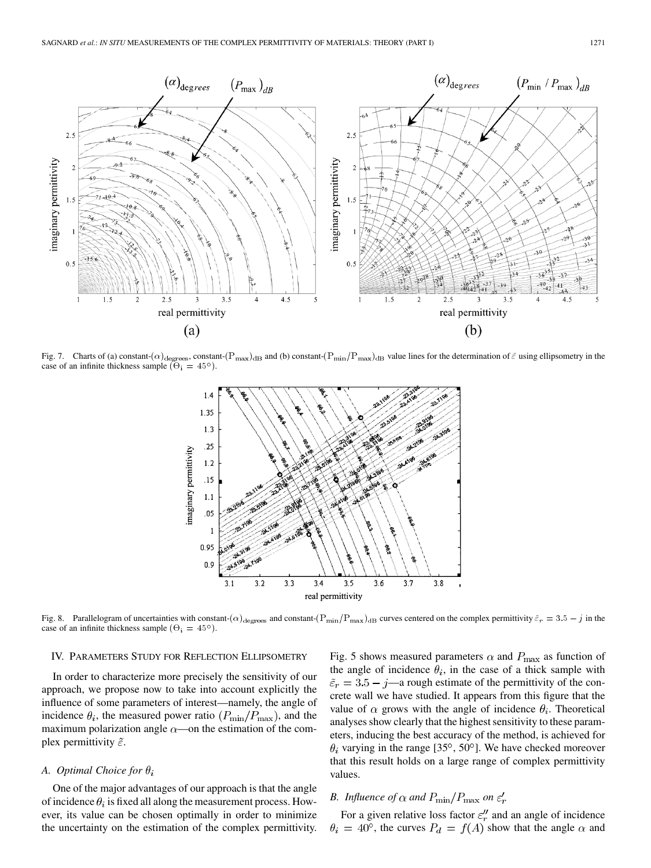

Fig. 7. Charts of (a) constant-( $\alpha$ ) degrees, constant-( $P_{\text{max}}$ ) and (b) constant-( $P_{\text{min}}/P_{\text{max}}$ ) and walue lines for the determination of  $\bar{\varepsilon}$  using ellipsometry in the case of an infinite thickness sample  $(\Theta_i = 45^{\circ}).$ 



case of an infinite thickness sample  $(\Theta_i = 45^{\circ}).$ 

## IV. PARAMETERS STUDY FOR REFLECTION ELLIPSOMETRY

In order to characterize more precisely the sensitivity of our approach, we propose now to take into account explicitly the influence of some parameters of interest—namely, the angle of incidence  $\theta_i$ , the measured power ratio  $(P_{\text{min}}/P_{\text{max}})$ , and the maximum polarization angle  $\alpha$  —on the estimation of the complex permittivity  $\tilde{\varepsilon}$ .

# *A. Optimal Choice for*

One of the major advantages of our approach is that the angle of incidence  $\theta_i$  is fixed all along the measurement process. However, its value can be chosen optimally in order to minimize the uncertainty on the estimation of the complex permittivity. Fig. 5 shows measured parameters  $\alpha$  and  $P_{\text{max}}$  as function of the angle of incidence  $\theta_i$ , in the case of a thick sample with  $\tilde{\varepsilon}_r = 3.5 - j$ —a rough estimate of the permittivity of the concrete wall we have studied. It appears from this figure that the value of  $\alpha$  grows with the angle of incidence  $\theta_i$ . Theoretical analyses show clearly that the highest sensitivity to these parameters, inducing the best accuracy of the method, is achieved for  $\theta_i$  varying in the range [35°, 50°]. We have checked moreover that this result holds on a large range of complex permittivity values.

# *B. Influence of*  $\alpha$  *and*  $P_{\text{min}}/P_{\text{max}}$  *on*  $\varepsilon'_r$

For a given relative loss factor  $\varepsilon_{r}''$  and an angle of incidence  $\theta_i = 40^\circ$ , the curves  $P_d = f(A)$  show that the angle  $\alpha$  and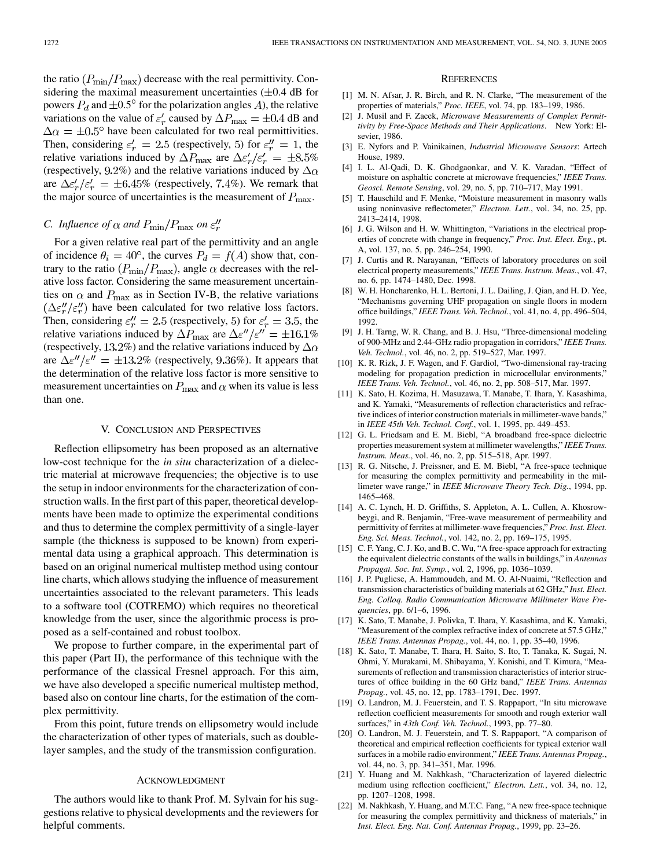<span id="page-6-0"></span>the ratio  $(P_{\min}/P_{\max})$  decrease with the real permittivity. Considering the maximal measurement uncertainties  $(\pm 0.4$  dB for powers  $P_d$  and  $\pm 0.5^\circ$  for the polarization angles A), the relative variations on the value of  $\varepsilon'_r$  caused by  $\Delta P_{\text{max}} = \pm 0.4$  dB and  $\Delta \alpha = \pm 0.5^{\circ}$  have been calculated for two real permittivities. Then, considering  $\varepsilon'_{r} = 2.5$  (respectively, 5) for  $\varepsilon''_{r} = 1$ , the relative variations induced by  $\Delta P_{\text{max}}$  are  $\Delta \epsilon'_r / \epsilon'_r = \pm 8.5\%$ (respectively, 9.2%) and the relative variations induced by  $\Delta \alpha$ are  $\Delta \varepsilon'_r/\varepsilon'_r = \pm 6.45\%$  (respectively, 7.4%). We remark that the major source of uncertainties is the measurement of  $P_{\text{max}}$ .

# *C.* Influence of  $\alpha$  and  $P_{\text{min}}/P_{\text{max}}$  on  $\varepsilon_r''$

For a given relative real part of the permittivity and an angle of incidence  $\theta_i = 40^\circ$ , the curves  $P_d = f(A)$  show that, contrary to the ratio ( $P_{\rm min}/P_{\rm max}$ ), angle  $\alpha$  decreases with the relative loss factor. Considering the same measurement uncertainties on  $\alpha$  and  $P_{\text{max}}$  as in Section IV-B, the relative variations  $(\Delta \varepsilon''_r/\varepsilon''_r)$  have been calculated for two relative loss factors. Then, considering  $\varepsilon_r'' = 2.5$  (respectively, 5) for  $\varepsilon_r' = 3.5$ , the relative variations induced by  $\Delta P_{\text{max}}$  are  $\Delta \varepsilon''/\varepsilon'' = \pm 16.1\%$ (respectively, 13.2%) and the relative variations induced by  $\Delta \alpha$ are  $\Delta \varepsilon''/\varepsilon'' = \pm 13.2\%$  (respectively, 9.36%). It appears that the determination of the relative loss factor is more sensitive to measurement uncertainties on  $P_{\text{max}}$  and  $\alpha$  when its value is less than one.

#### V. CONCLUSION AND PERSPECTIVES

Reflection ellipsometry has been proposed as an alternative low-cost technique for the *in situ* characterization of a dielectric material at microwave frequencies; the objective is to use the setup in indoor environments for the characterization of construction walls. In the first part of this paper, theoretical developments have been made to optimize the experimental conditions and thus to determine the complex permittivity of a single-layer sample (the thickness is supposed to be known) from experimental data using a graphical approach. This determination is based on an original numerical multistep method using contour line charts, which allows studying the influence of measurement uncertainties associated to the relevant parameters. This leads to a software tool (COTREMO) which requires no theoretical knowledge from the user, since the algorithmic process is proposed as a self-contained and robust toolbox.

We propose to further compare, in the experimental part of this paper (Part II), the performance of this technique with the performance of the classical Fresnel approach. For this aim, we have also developed a specific numerical multistep method, based also on contour line charts, for the estimation of the complex permittivity.

From this point, future trends on ellipsometry would include the characterization of other types of materials, such as doublelayer samples, and the study of the transmission configuration.

## ACKNOWLEDGMENT

The authors would like to thank Prof. M. Sylvain for his suggestions relative to physical developments and the reviewers for helpful comments.

#### **REFERENCES**

- [1] M. N. Afsar, J. R. Birch, and R. N. Clarke, "The measurement of the properties of materials," *Proc. IEEE*, vol. 74, pp. 183–199, 1986.
- [2] J. Musil and F. Zacek, *Microwave Measurements of Complex Permittivity by Free-Space Methods and Their Applications*. New York: Elsevier, 1986.
- [3] E. Nyfors and P. Vainikainen, *Industrial Microwave Sensors*: Artech House, 1989.
- [4] I. L. Al-Qadi, D. K. Ghodgaonkar, and V. K. Varadan, "Effect of moisture on asphaltic concrete at microwave frequencies," *IEEE Trans. Geosci. Remote Sensing*, vol. 29, no. 5, pp. 710–717, May 1991.
- [5] T. Hauschild and F. Menke, "Moisture measurement in masonry walls using noninvasive reflectometer," *Electron. Lett.*, vol. 34, no. 25, pp. 2413–2414, 1998.
- [6] J. G. Wilson and H. W. Whittington, "Variations in the electrical properties of concrete with change in frequency," *Proc. Inst. Elect. Eng.*, pt. A, vol. 137, no. 5, pp. 246–254, 1990.
- J. Curtis and R. Narayanan, "Effects of laboratory procedures on soil electrical property measurements," *IEEE Trans. Instrum. Meas.*, vol. 47, no. 6, pp. 1474–1480, Dec. 1998.
- [8] W. H. Honcharenko, H. L. Bertoni, J. L. Dailing, J. Qian, and H. D. Yee, "Mechanisms governing UHF propagation on single floors in modern office buildings," *IEEE Trans. Veh. Technol.*, vol. 41, no. 4, pp. 496–504, 1992.
- [9] J. H. Tarng, W. R. Chang, and B. J. Hsu, "Three-dimensional modeling of 900-MHz and 2.44-GHz radio propagation in corridors," *IEEE Trans. Veh. Technol.*, vol. 46, no. 2, pp. 519–527, Mar. 1997.
- [10] K. R. Rizk, J. F. Wagen, and F. Gardiol, "Two-dimensional ray-tracing modeling for propagation prediction in microcellular environments,' *IEEE Trans. Veh. Technol.*, vol. 46, no. 2, pp. 508–517, Mar. 1997.
- [11] K. Sato, H. Kozima, H. Masuzawa, T. Manabe, T. Ihara, Y. Kasashima, and K. Yamaki, "Measurements of reflection characteristics and refractive indices of interior construction materials in millimeter-wave bands," in *IEEE 45th Veh. Technol. Conf.*, vol. 1, 1995, pp. 449–453.
- [12] G. L. Friedsam and E. M. Biebl, "A broadband free-space dielectric properties measurement system at millimeter wavelengths," *IEEE Trans. Instrum. Meas.*, vol. 46, no. 2, pp. 515–518, Apr. 1997.
- [13] R. G. Nitsche, J. Preissner, and E. M. Biebl, "A free-space technique for measuring the complex permittivity and permeability in the millimeter wave range," in *IEEE Microwave Theory Tech. Dig.*, 1994, pp. 1465–468.
- [14] A. C. Lynch, H. D. Griffiths, S. Appleton, A. L. Cullen, A. Khosrowbeygi, and R. Benjamin, "Free-wave measurement of permeability and permittivity of ferrites at millimeter-wave frequencies," *Proc. Inst. Elect. Eng. Sci. Meas. Technol.*, vol. 142, no. 2, pp. 169–175, 1995.
- [15] C. F. Yang, C. J. Ko, and B. C. Wu, "A free-space approach for extracting the equivalent dielectric constants of the walls in buildings," in *Antennas Propagat. Soc. Int. Symp.*, vol. 2, 1996, pp. 1036–1039.
- [16] J. P. Pugliese, A. Hammoudeh, and M. O. Al-Nuaimi, "Reflection and transmission characteristics of building materials at 62 GHz," *Inst. Elect. Eng. Colloq. Radio Communication Microwave Millimeter Wave Frequencies*, pp. 6/1–6, 1996.
- [17] K. Sato, T. Manabe, J. Polivka, T. Ihara, Y. Kasashima, and K. Yamaki, "Measurement of the complex refractive index of concrete at 57.5 GHz," *IEEE Trans. Antennas Propag.*, vol. 44, no. 1, pp. 35–40, 1996.
- [18] K. Sato, T. Manabe, T. Ihara, H. Saito, S. Ito, T. Tanaka, K. Sugai, N. Ohmi, Y. Murakami, M. Shibayama, Y. Konishi, and T. Kimura, "Measurements of reflection and transmission characteristics of interior structures of office building in the 60 GHz band," *IEEE Trans. Antennas Propag.*, vol. 45, no. 12, pp. 1783–1791, Dec. 1997.
- [19] O. Landron, M. J. Feuerstein, and T. S. Rappaport, "In situ microwave reflection coefficient measurements for smooth and rough exterior wall surfaces," in *43th Conf. Veh. Technol.*, 1993, pp. 77–80.
- [20] O. Landron, M. J. Feuerstein, and T. S. Rappaport, "A comparison of theoretical and empirical reflection coefficients for typical exterior wall surfaces in a mobile radio environment," *IEEE Trans. Antennas Propag.*, vol. 44, no. 3, pp. 341–351, Mar. 1996.
- [21] Y. Huang and M. Nakhkash, "Characterization of layered dielectric medium using reflection coefficient," *Electron. Lett.*, vol. 34, no. 12, pp. 1207–1208, 1998.
- [22] M. Nakhkash, Y. Huang, and M.T.C. Fang, "A new free-space technique for measuring the complex permittivity and thickness of materials," in *Inst. Elect. Eng. Nat. Conf. Antennas Propag.*, 1999, pp. 23–26.